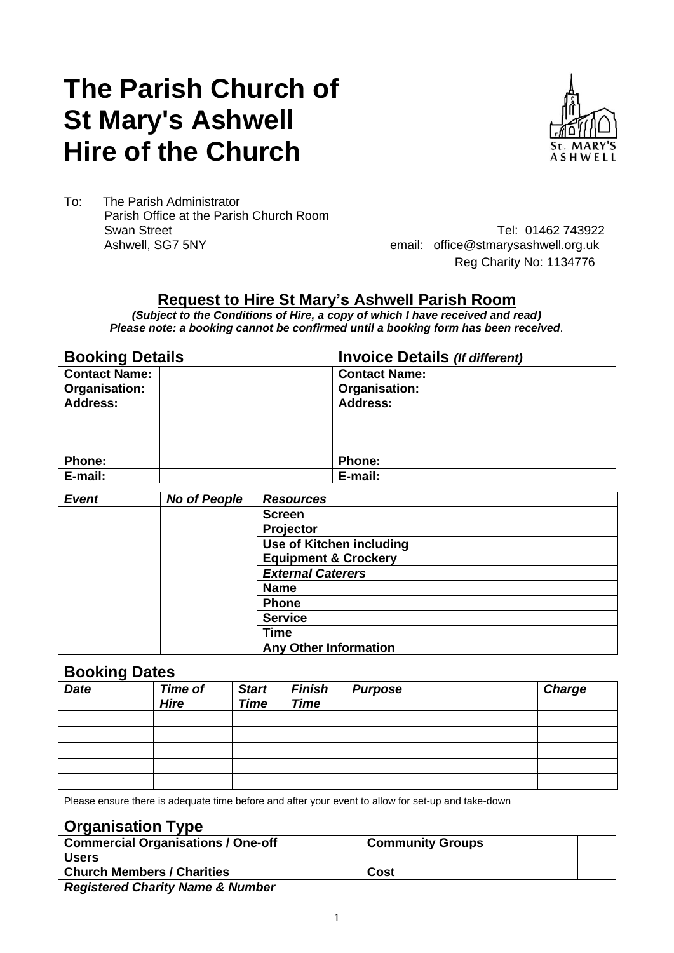# **The Parish Church of St Mary's Ashwell Hire of the Church**



To: The Parish Administrator Parish Office at the Parish Church Room Swan Street Tel: 01462 743922<br>Ashwell, SG7 5NY Tel: 01462 743922<br>email: office@stmarysashwell.org.uk

email: office@stmarysashwell.org.uk Reg Charity No: 1134776

### **Request to Hire St Mary's Ashwell Parish Room**

*(Subject to the Conditions of Hire, a copy of which I have received and read) Please note: a booking cannot be confirmed until a booking form has been received.*

**Booking Details Invoice Details** *(If different)*

| <b>Contact Name:</b> | <b>Contact Name:</b> |
|----------------------|----------------------|
| <b>Organisation:</b> | Organisation:        |
| <b>Address:</b>      | <b>Address:</b>      |
|                      |                      |
|                      |                      |
|                      |                      |
| <b>Phone:</b>        | <b>Phone:</b>        |
| E-mail:              | E-mail:              |

| <b>Event</b> | <b>No of People</b> | <b>Resources</b>                |  |
|--------------|---------------------|---------------------------------|--|
|              |                     | <b>Screen</b>                   |  |
|              |                     | Projector                       |  |
|              |                     | <b>Use of Kitchen including</b> |  |
|              |                     | <b>Equipment &amp; Crockery</b> |  |
|              |                     | <b>External Caterers</b>        |  |
|              |                     | <b>Name</b>                     |  |
|              |                     | <b>Phone</b>                    |  |
|              |                     | <b>Service</b>                  |  |
|              |                     | <b>Time</b>                     |  |
|              |                     | <b>Any Other Information</b>    |  |

### **Booking Dates**

| <b>Date</b> | <b>Time of</b><br><b>Hire</b> | <b>Start</b><br><b>Time</b> | <b>Finish</b><br><b>Time</b> | <b>Purpose</b> | <b>Charge</b> |
|-------------|-------------------------------|-----------------------------|------------------------------|----------------|---------------|
|             |                               |                             |                              |                |               |
|             |                               |                             |                              |                |               |
|             |                               |                             |                              |                |               |
|             |                               |                             |                              |                |               |
|             |                               |                             |                              |                |               |

Please ensure there is adequate time before and after your event to allow for set-up and take-down

### **Organisation Type**

| <b>Commercial Organisations / One-off</b><br><b>Users</b> | <b>Community Groups</b> |  |
|-----------------------------------------------------------|-------------------------|--|
| <b>Church Members / Charities</b>                         | Cost                    |  |
| <b>Registered Charity Name &amp; Number</b>               |                         |  |